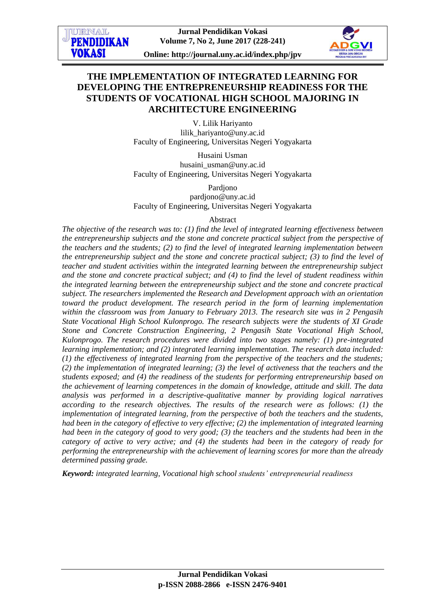**Online: http://journal.uny.ac.id/index.php/jpv**

# **THE IMPLEMENTATION OF INTEGRATED LEARNING FOR DEVELOPING THE ENTREPRENEURSHIP READINESS FOR THE STUDENTS OF VOCATIONAL HIGH SCHOOL MAJORING IN ARCHITECTURE ENGINEERING**

V. Lilik Hariyanto lilik\_hariyanto@uny.ac.id Faculty of Engineering, Universitas Negeri Yogyakarta

Husaini Usman husaini\_usman@uny.ac.id Faculty of Engineering, Universitas Negeri Yogyakarta

Pardjono pardjono@uny.ac.id Faculty of Engineering, Universitas Negeri Yogyakarta

# Abstract

*The objective of the research was to: (1) find the level of integrated learning effectiveness between the entrepreneurship subjects and the stone and concrete practical subject from the perspective of the teachers and the students; (2) to find the level of integrated learning implementation between the entrepreneurship subject and the stone and concrete practical subject; (3) to find the level of teacher and student activities within the integrated learning between the entrepreneurship subject and the stone and concrete practical subject; and (4) to find the level of student readiness within the integrated learning between the entrepreneurship subject and the stone and concrete practical subject. The researchers implemented the Research and Development approach with an orientation toward the product development. The research period in the form of learning implementation within the classroom was from January to February 2013. The research site was in 2 Pengasih State Vocational High School Kulonprogo. The research subjects were the students of XI Grade Stone and Concrete Construction Engineering, 2 Pengasih State Vocational High School, Kulonprogo. The research procedures were divided into two stages namely: (1) pre-integrated learning implementation; and (2) integrated learning implementation. The research data included: (1) the effectiveness of integrated learning from the perspective of the teachers and the students; (2) the implementation of integrated learning; (3) the level of activeness that the teachers and the students exposed; and (4) the readiness of the students for performing entrepreneurship based on the achievement of learning competences in the domain of knowledge, attitude and skill. The data analysis was performed in a descriptive-qualitative manner by providing logical narratives according to the research objectives. The results of the research were as follows: (1) the implementation of integrated learning, from the perspective of both the teachers and the students, had been in the category of effective to very effective; (2) the implementation of integrated learning had been in the category of good to very good; (3) the teachers and the students had been in the category of active to very active; and (4) the students had been in the category of ready for performing the entrepreneurship with the achievement of learning scores for more than the already determined passing grade.*

*Keyword: integrated learning, Vocational high school students' entrepreneurial readiness*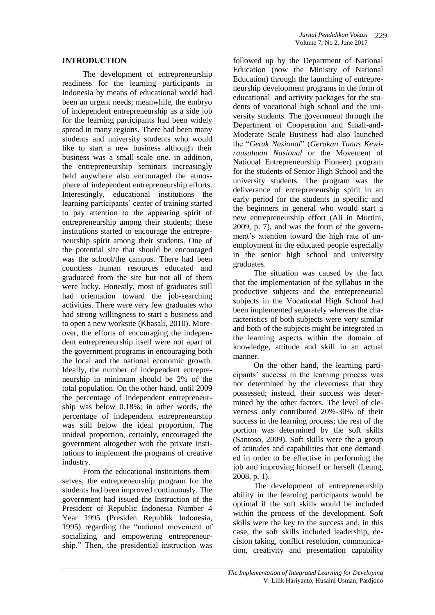### **INTRODUCTION**

The development of entrepreneurship readiness for the learning participants in Indonesia by means of educational world had been an urgent needs; meanwhile, the embryo of independent entrepreneurship as a side job for the learning participants had been widely spread in many regions. There had been many students and university students who would like to start a new business although their business was a small-scale one. in addition, the entrepreneurship seminars increasingly held anywhere also encouraged the atmosphere of independent entrepreneurship efforts. Interestingly, educational institutions the learning participants' center of training started to pay attention to the appearing spirit of entrepreneurship among their students; these institutions started to encourage the entrepreneurship spirit among their students. One of the potential site that should be encouraged was the school/the campus. There had been countless human resources educated and graduated from the site but not all of them were lucky. Honestly, most of graduates still had orientation toward the job-searching activities. There were very few graduates who had strong willingness to start a business and to open a new worksite (Khasali, 2010). Moreover, the efforts of encouraging the independent entrepreneurship itself were not apart of the government programs in encouraging both the local and the national economic growth. Ideally, the number of independent entrepreneurship in minimum should be 2% of the total population. On the other hand, until 2009 the percentage of independent entrepreneurship was below 0.18%; in other words, the percentage of independent entrepreneurship was still below the ideal proportion. The unideal proportion, certainly, encouraged the government altogether with the private institutions to implement the programs of creative industry.

From the educational institutions themselves, the entrepreneurship program for the students had been improved continuously. The government had issued the Instruction of the President of Republic Indonesia Number 4 Year 1995 (Presiden Republik Indonesia, 1995) regarding the "national movement of socializing and empowering entrepreneurship." Then, the presidential instruction was

followed up by the Department of National Education (now the Ministry of National Education) through the launching of entrepreneurship development programs in the form of educational and activity packages for the students of vocational high school and the university students. The government through the Department of Cooperation and Small-and-Moderate Scale Business had also launched the "*Getuk Nasional*" (*Gerakan Tunas Kewirausahaan Nasional* or the Movement of National Entrepreneurship Pioneer) program for the students of Senior High School and the university students. The program was the deliverance of entrepreneurship spirit in an early period for the students in specific and the beginners in general who would start a new entrepreneurship effort (Ali in Murtini, 2009, p. 7), and was the form of the government's attention toward the high rate of unemployment in the educated people especially in the senior high school and university graduates.

The situation was caused by the fact that the implementation of the syllabus in the productive subjects and the entrepreneurial subjects in the Vocational High School had been implemented separately whereas the characteristics of both subjects were very similar and both of the subjects might be integrated in the learning aspects within the domain of knowledge, attitude and skill in an actual manner.

On the other hand, the learning participants' success in the learning process was not determined by the cleverness that they possessed; instead, their success was determined by the other factors. The level of cleverness only contributed 20%-30% of their success in the learning process; the rest of the portion was determined by the soft skills (Santoso, 2009). Soft skills were the a group of attitudes and capabilities that one demanded in order to be effective in performing the job and improving himself or herself (Leung, 2008, p. 1).

The development of entrepreneurship ability in the learning participants would be optimal if the soft skills would be included within the process of the development. Soft skills were the key to the success and, in this case, the soft skills included leadership, decision taking, conflict resolution, communication, creativity and presentation capability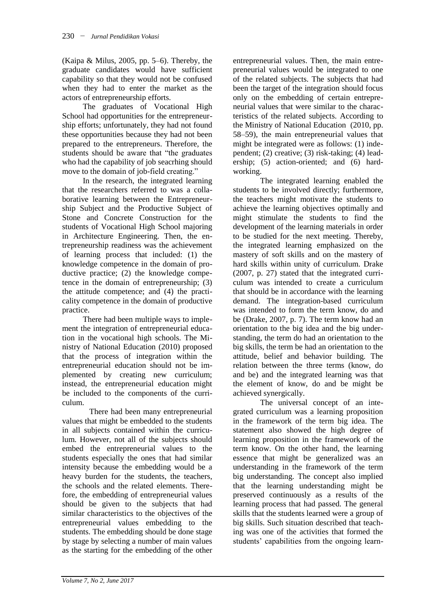(Kaipa & Milus, 2005, pp. 5–6). Thereby, the graduate candidates would have sufficient capability so that they would not be confused when they had to enter the market as the actors of entrepreneurship efforts.

The graduates of Vocational High School had opportunities for the entrepreneurship efforts; unfortunately, they had not found these opportunities because they had not been prepared to the entrepreneurs. Therefore, the students should be aware that "the graduates who had the capability of job seacrhing should move to the domain of job-field creating."

In the research, the integrated learning that the researchers referred to was a collaborative learning between the Entrepreneurship Subject and the Productive Subject of Stone and Concrete Construction for the students of Vocational High School majoring in Architecture Engineering. Then, the entrepreneurship readiness was the achievement of learning process that included: (1) the knowledge competence in the domain of productive practice; (2) the knowledge competence in the domain of entrepreneurship; (3) the attitude competence; and (4) the practicality competence in the domain of productive practice.

There had been multiple ways to implement the integration of entrepreneurial education in the vocational high schools. The Ministry of National Education (2010) proposed that the process of integration within the entrepreneurial education should not be implemented by creating new curriculum; instead, the entrepreneurial education might be included to the components of the curriculum.

There had been many entrepreneurial values that might be embedded to the students in all subjects contained within the curriculum. However, not all of the subjects should embed the entrepreneurial values to the students especially the ones that had similar intensity because the embedding would be a heavy burden for the students, the teachers, the schools and the related elements. Therefore, the embedding of entrepreneurial values should be given to the subjects that had similar characteristics to the objectives of the entrepreneurial values embedding to the students. The embedding should be done stage by stage by selecting a number of main values as the starting for the embedding of the other

entrepreneurial values. Then, the main entrepreneurial values would be integrated to one of the related subjects. The subjects that had been the target of the integration should focus only on the embedding of certain entrepreneurial values that were similar to the characteristics of the related subjects. According to the Ministry of National Education (2010, pp. 58–59), the main entrepreneurial values that might be integrated were as follows: (1) independent; (2) creative; (3) risk-taking; (4) leadership; (5) action-oriented; and (6) hardworking.

The integrated learning enabled the students to be involved directly; furthermore, the teachers might motivate the students to achieve the learning objectives optimally and might stimulate the students to find the development of the learning materials in order to be studied for the next meeting. Thereby, the integrated learning emphasized on the mastery of soft skills and on the mastery of hard skills within unity of curriculum. Drake (2007, p. 27) stated that the integrated curriculum was intended to create a curriculum that should be in accordance with the learning demand. The integration-based curriculum was intended to form the term know, do and be (Drake, 2007, p. 7). The term know had an orientation to the big idea and the big understanding, the term do had an orientation to the big skills, the term be had an orientation to the attitude, belief and behavior building. The relation between the three terms (know, do and be) and the integrated learning was that the element of know, do and be might be achieved synergically.

The universal concept of an integrated curriculum was a learning proposition in the framework of the term big idea. The statement also showed the high degree of learning proposition in the framework of the term know. On the other hand, the learning essence that might be generalized was an understanding in the framework of the term big understanding. The concept also implied that the learning understanding might be preserved continuously as a results of the learning process that had passed. The general skills that the students learned were a group of big skills. Such situation described that teaching was one of the activities that formed the students' capabilities from the ongoing learn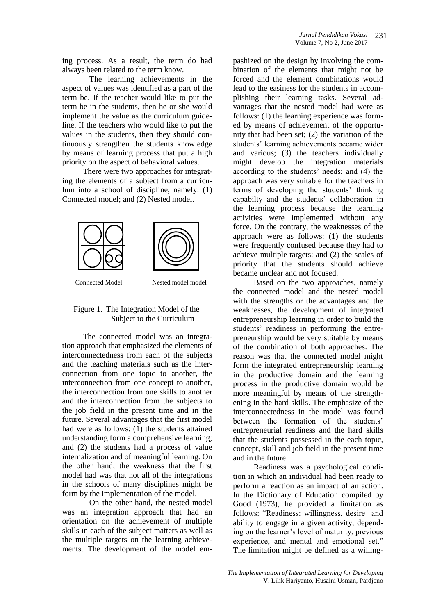ing process. As a result, the term do had always been related to the term know.

The learning achievements in the aspect of values was identified as a part of the term be. If the teacher would like to put the term be in the students, then he or she would implement the value as the curriculum guideline. If the teachers who would like to put the values in the students, then they should continuously strengthen the students knowledge by means of learning process that put a high priority on the aspect of behavioral values.

There were two approaches for integrating the elements of a subject from a curriculum into a school of discipline, namely: (1) Connected model; and (2) Nested model.



Connected Model Nested model model

# Figure 1. The Integration Model of the Subject to the Curriculum

The connected model was an integration approach that emphasized the elements of interconnectedness from each of the subjects and the teaching materials such as the interconnection from one topic to another, the interconnection from one concept to another, the interconnection from one skills to another and the interconnection from the subjects to the job field in the present time and in the future. Several advantages that the first model had were as follows: (1) the students attained understanding form a comprehensive learning; and (2) the students had a process of value internalization and of meaningful learning. On the other hand, the weakness that the first model had was that not all of the integrations in the schools of many disciplines might be form by the implementation of the model.

On the other hand, the nested model was an integration approach that had an orientation on the achievement of multiple skills in each of the subject matters as well as the multiple targets on the learning achievements. The development of the model em-

pashized on the design by involving the combination of the elements that might not be forced and the element combinations would lead to the easiness for the students in accomplishing their learning tasks. Several advantages that the nested model had were as follows: (1) the learning experience was formed by means of achievement of the opportunity that had been set; (2) the variation of the students' learning achievements became wider and various; (3) the teachers individually might develop the integration materials according to the students' needs; and (4) the approach was very suitable for the teachers in terms of developing the students' thinking capabilty and the students' collaboration in the learning process because the learning activities were implemented without any force. On the contrary, the weaknesses of the approach were as follows: (1) the students were frequently confused because they had to achieve multiple targets; and (2) the scales of priority that the students should achieve became unclear and not focused.

Based on the two approaches, namely the connected model and the nested model with the strengths or the advantages and the weaknesses, the development of integrated entrepreneurship learning in order to build the students' readiness in performing the entrepreneurship would be very suitable by means of the combination of both approaches. The reason was that the connected model might form the integrated entrepreneurship learning in the productive domain and the learning process in the productive domain would be more meaningful by means of the strengthening in the hard skills. The emphasize of the interconnectedness in the model was found between the formation of the students' entrepreneurial readiness and the hard skills that the students possessed in the each topic, concept, skill and job field in the present time and in the future.

Readiness was a psychological condition in which an individual had been ready to perform a reaction as an impact of an action. In the Dictionary of Education compiled by Good (1973), he provided a limitation as follows: "Readiness: willingness, desire and ability to engage in a given activity, depending on the learner's level of maturity, previous experience, and mental and emotional set." The limitation might be defined as a willing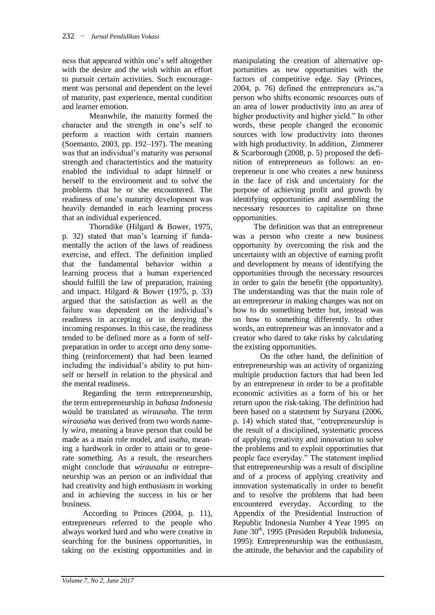ness that appeared within one's self altogether with the desire and the wish within an effort to pursuit certain activities. Such encouragement was personal and dependent on the level of maturity, past experience, mental condition and learner emotion.

Meanwhile, the maturity formed the character and the strength in one's self to perform a reaction with certain manners (Soemanto, 2003, pp. 192–197). The meaning was that an individual's maturity was personal strength and charactertistics and the maturity enabled the individual to adapt himself or herself to the environment and to solve the problems that he or she encountered. The readiness of one's maturity development was heavily demanded in each learning process that an individual experienced.

Thorndike (Hilgard & Bower, 1975, p. 32) stated that man's learning if fundamentally the action of the laws of readiness exercise, and effect. The definition implied that the fundamental behavior within a learning process that a human experienced should fulfill the law of preparation, training and impact. Hilgard & Bower (1975, p. 33) argued that the satisfaction as well as the failure was dependent on the individual's readiness in accepting or in denying the incoming responses. In this case, the readiness tended to be defined more as a form of selfpreparation in order to accept orto deny something (reinforcement) that had been learned including the individual's ability to put himself or herself in relation to the physical and the mental readiness.

Regarding the term entrepreneurship, the term entrepreneurship in *bahasa Indonesia* would be translated as *wirausaha*. The term *wirausaha* was derived from two words namely *wira*, meaning a brave person that could be made as a main role model, and *usaha*, meaning a hardwork in order to attain or to generate something. As a result, the researchers might conclude that *wirausaha* or entrepreneurship was an person or an individual that had creativity and high enthusiasm in working and in achieving the success in his or her business.

According to Princes (2004, p. 11), entrepreneurs referred to the people who always worked hard and who were creative in searching for the business opportunities, in taking on the existing opportunities and in

manipulating the creation of alternative opportunities as new opportunities with the factors of competitive edge. Say (Princes, 2004, p. 76) defined the entrepreneurs as,"a person who shifts economic resources outs of an area of lower productivity into an area of higher productivity and higher yield." In other words, these people changed the economic sources with low productivity into theones with high productivity. In addition, Zimmerer & Scarborough (2008, p. 5) proposed the definition of entrepreneurs as follows: an entrepreneur is one who creates a new business in the face of risk and uncertainty for the purpose of achieving profit and growth by identifying opportunities and assembling the necessary resources to capitalize on those opportunities.

The definition was that an entrepreneur was a person who create a new business opportunity by overcoming the risk and the uncertainty with an objective of earning profit and development by means of identifying the opportunities through the necessary resources in order to gain the benefit (the opportunity). The understanding was that the main role of an entrepreneur in making changes was not on how to do something better but, instead was on how to something differently. In other words, an entrepreneur was an innovator and a creator who dared to take risks by calculating the existing opportunities.

On the other hand, the definition of entrepreneurship was an activity of organizing multiple production factors that had been led by an entrepreneur in order to be a profitable economic activities as a form of his or her return upon the risk-taking. The definition had been based on a statement by Suryana (2006, p. 14) which stated that, "entrepreneurship is the result of a disciplined, systematic process of applying creativity and innovation to solve the problems and to exploit opportinuties that people face everyday." The statement implied that entrepreneurship was a result of discipline and of a process of applying creativity and innovation systematically in order to benefit and to resolve the problems that had been encountered everyday. According to the Appendix of the Presidential Instruction of Republic Indonesia Number 4 Year 1995 on June  $30<sup>th</sup>$ , 1995 (Presiden Republik Indonesia, 1995): Entrepreneurship was the enthusiasm, the attitude, the behavior and the capability of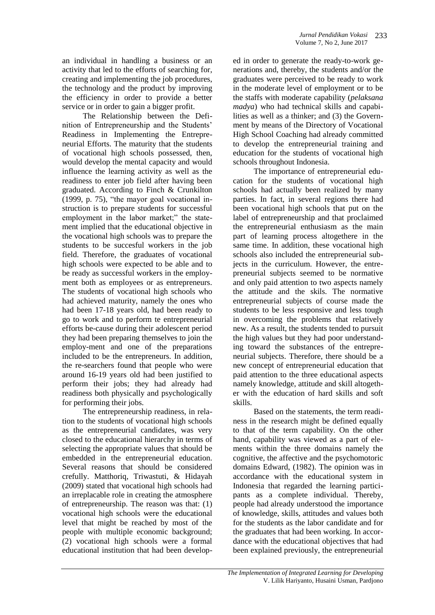an individual in handling a business or an activity that led to the efforts of searching for, creating and implementing the job procedures, the technology and the product by improving the efficiency in order to provide a better service or in order to gain a bigger profit.

The Relationship between the Definition of Entrepreneurship and the Students' Readiness in Implementing the Entrepreneurial Efforts. The maturity that the students of vocational high schools possessed, then, would develop the mental capacity and would influence the learning activity as well as the readiness to enter job field after having been graduated. According to Finch & Crunkilton (1999, p. 75), "the mayor goal vocational instruction is to prepare students for successful employment in the labor market;" the statement implied that the educational objective in the vocational high schools was to prepare the students to be succesful workers in the job field. Therefore, the graduates of vocational high schools were expected to be able and to be ready as successful workers in the employment both as employees or as entrepreneurs. The students of vocational high schools who had achieved maturity, namely the ones who had been 17-18 years old, had been ready to go to work and to perform te entrepreneurial efforts be-cause during their adolescent period they had been preparing themselves to join the employ-ment and one of the preparations included to be the entrepreneurs. In addition, the re-searchers found that people who were around 16-19 years old had been justified to perform their jobs; they had already had readiness both physically and psychologically for performing their jobs.

The entrepreneurship readiness, in relation to the students of vocational high schools as the entrepreneurial candidates, was very closed to the educational hierarchy in terms of selecting the appropriate values that should be embedded in the entrepreneurial education. Several reasons that should be considered crefully. Matthoriq, Triwastuti, & Hidayah (2009) stated that vocational high schools had an irreplacable role in creating the atmosphere of entrepreneurship. The reason was that: (1) vocational high schools were the educational level that might be reached by most of the people with multiple economic background; (2) vocational high schools were a formal educational institution that had been develop-

ed in order to generate the ready-to-work generations and, thereby, the students and/or the graduates were perceived to be ready to work in the moderate level of employment or to be the staffs with moderate capability (*pelaksana madya*) who had technical skills and capabilities as well as a thinker; and (3) the Government by means of the Directory of Vocational High School Coaching had already committed to develop the entrepreneurial training and education for the students of vocational high schools throughout Indonesia.

The importance of entrepreneurial education for the students of vocational high schools had actually been realized by many parties. In fact, in several regions there had been vocational high schools that put on the label of entrepreneurship and that proclaimed the entrepreneurial enthusiasm as the main part of learning process altogethere in the same time. In addition, these vocational high schools also included the entrepreneurial subjects in the curriculum. However, the entrepreneurial subjects seemed to be normative and only paid attention to two aspects namely the attitude and the skils. The normative entrepreneurial subjects of course made the students to be less responsive and less tough in overcoming the problems that relatively new. As a result, the students tended to pursuit the high values but they had poor understanding toward the substances of the entrepreneurial subjects. Therefore, there should be a new concept of entrepreneurial education that paid attention to the three educational aspects namely knowledge, attitude and skill altogether with the education of hard skills and soft skills.

Based on the statements, the term readiness in the research might be defined equally to that of the term capability. On the other hand, capability was viewed as a part of elements within the three domains namely the cognitive, the affective and the psychomotoric domains Edward, (1982). The opinion was in accordance with the educational system in Indonesia that regarded the learning participants as a complete individual. Thereby, people had already understood the importance of knowledge, skills, attitudes and values both for the students as the labor candidate and for the graduates that had been working. In accordance with the educational objectives that had been explained previously, the entrepreneurial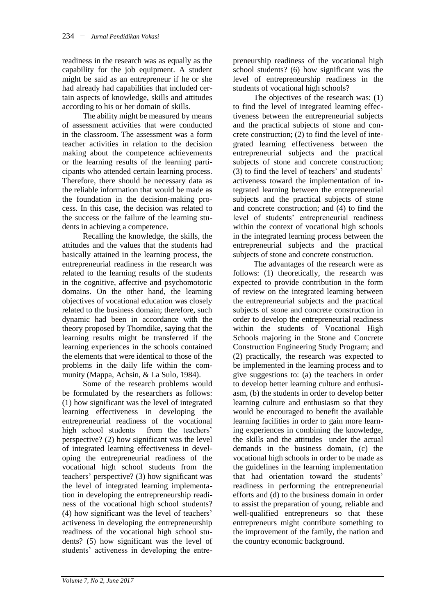readiness in the research was as equally as the capability for the job equipment. A student might be said as an entrepreneur if he or she had already had capabilities that included certain aspects of knowledge, skills and attitudes according to his or her domain of skills.

The ability might be measured by means of assessment activities that were conducted in the classroom. The assessment was a form teacher activities in relation to the decision making about the competence achievements or the learning results of the learning participants who attended certain learning process. Therefore, there should be necessary data as the reliable information that would be made as the foundation in the decision-making process. In this case, the decision was related to the success or the failure of the learning students in achieving a competence.

Recalling the knowledge, the skills, the attitudes and the values that the students had basically attained in the learning process, the entrepreneurial readiness in the research was related to the learning results of the students in the cognitive, affective and psychomotoric domains. On the other hand, the learning objectives of vocational education was closely related to the business domain; therefore, such dynamic had been in accordance with the theory proposed by Thorndike, saying that the learning results might be transferred if the learning experiences in the schools contained the elements that were identical to those of the problems in the daily life within the community (Mappa, Achsin, & La Sulo, 1984).

Some of the research problems would be formulated by the researchers as follows: (1) how significant was the level of integrated learning effectiveness in developing the entrepreneurial readiness of the vocational high school students from the teachers' perspective? (2) how significant was the level of integrated learning effectiveness in developing the entrepreneurial readiness of the vocational high school students from the teachers' perspective? (3) how significant was the level of integrated learning implementation in developing the entrepreneurship readiness of the vocational high school students? (4) how significant was the level of teachers' activeness in developing the entrepreneurship readiness of the vocational high school students? (5) how significant was the level of students' activeness in developing the entre-

preneurship readiness of the vocational high school students? (6) how significant was the level of entrepreneurship readiness in the students of vocational high schools?

The objectives of the research was: (1) to find the level of integrated learning effectiveness between the entrepreneurial subjects and the practical subjects of stone and concrete construction; (2) to find the level of integrated learning effectiveness between the entrepreneurial subjects and the practical subjects of stone and concrete construction; (3) to find the level of teachers' and students' activeness toward the implementation of integrated learning between the entrepreneurial subjects and the practical subjects of stone and concrete construction; and (4) to find the level of students' entrepreneurial readiness within the context of vocational high schools in the integrated learning process between the entrepreneurial subjects and the practical subjects of stone and concrete construction.

The advantages of the research were as follows: (1) theoretically, the research was expected to provide contribution in the form of review on the integrated learning between the entrepreneurial subjects and the practical subjects of stone and concrete construction in order to develop the entrepreneurial readiness within the students of Vocational High Schools majoring in the Stone and Concrete Construction Engineering Study Program; and (2) practically, the research was expected to be implemented in the learning process and to give suggestions to: (a) the teachers in order to develop better learning culture and enthusiasm, (b) the students in order to develop better learning culture and enthusiasm so that they would be encouraged to benefit the available learning facilities in order to gain more learning experiences in combining the knowledge, the skills and the attitudes under the actual demands in the business domain, (c) the vocational high schools in order to be made as the guidelines in the learning implementation that had orientation toward the students' readiness in performing the entrepreneurial efforts and (d) to the business domain in order to assist the preparation of young, reliable and well-qualified entrepreneurs so that these entrepreneurs might contribute something to the improvement of the family, the nation and the country economic background.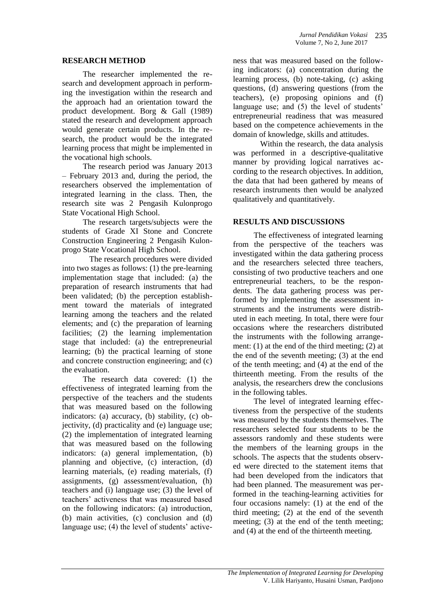### **RESEARCH METHOD**

The researcher implemented the research and development approach in performing the investigation within the research and the approach had an orientation toward the product development. Borg & Gall (1989) stated the research and development approach would generate certain products. In the research, the product would be the integrated learning process that might be implemented in the vocational high schools.

The research period was January 2013 – February 2013 and, during the period, the researchers observed the implementation of integrated learning in the class. Then, the research site was 2 Pengasih Kulonprogo State Vocational High School.

The research targets/subjects were the students of Grade XI Stone and Concrete Construction Engineering 2 Pengasih Kulonprogo State Vocational High School.

The research procedures were divided into two stages as follows: (1) the pre-learning implementation stage that included: (a) the preparation of research instruments that had been validated; (b) the perception establishment toward the materials of integrated learning among the teachers and the related elements; and (c) the preparation of learning facilities; (2) the learning implementation stage that included: (a) the entrepreneurial learning; (b) the practical learning of stone and concrete construction engineering; and (c) the evaluation.

The research data covered: (1) the effectiveness of integrated learning from the perspective of the teachers and the students that was measured based on the following indicators: (a) accuracy, (b) stability, (c) objectivity, (d) practicality and (e) language use; (2) the implementation of integrated learning that was measured based on the following indicators: (a) general implementation, (b) planning and objective, (c) interaction, (d) learning materials, (e) reading materials, (f) assignments, (g) assessment/evaluation, (h) teachers and (i) language use; (3) the level of teachers' activeness that was measured based on the following indicators: (a) introduction, (b) main activities, (c) conclusion and (d) language use; (4) the level of students' activeness that was measured based on the following indicators: (a) concentration during the learning process, (b) note-taking, (c) asking questions, (d) answering questions (from the teachers), (e) proposing opinions and (f) language use; and (5) the level of students' entrepreneurial readiness that was measured based on the competence achievements in the domain of knowledge, skills and attitudes.

Within the research, the data analysis was performed in a descriptive-qualitative manner by providing logical narratives according to the research objectives. In addition, the data that had been gathered by means of research instruments then would be analyzed qualitatively and quantitatively.

### **RESULTS AND DISCUSSIONS**

The effectiveness of integrated learning from the perspective of the teachers was investigated within the data gathering process and the researchers selected three teachers, consisting of two productive teachers and one entrepreneurial teachers, to be the respondents. The data gathering process was performed by implementing the assessment instruments and the instruments were distributed in each meeting. In total, there were four occasions where the researchers distributed the instruments with the following arrangement: (1) at the end of the third meeting; (2) at the end of the seventh meeting; (3) at the end of the tenth meeting; and (4) at the end of the thirteenth meeting. From the results of the analysis, the researchers drew the conclusions in the following tables.

The level of integrated learning effectiveness from the perspective of the students was measured by the students themselves. The researchers selected four students to be the assessors randomly and these students were the members of the learning groups in the schools. The aspects that the students observed were directed to the statement items that had been developed from the indicators that had been planned. The measurement was performed in the teaching-learning activities for four occasions namely: (1) at the end of the third meeting; (2) at the end of the seventh meeting; (3) at the end of the tenth meeting; and (4) at the end of the thirteenth meeting.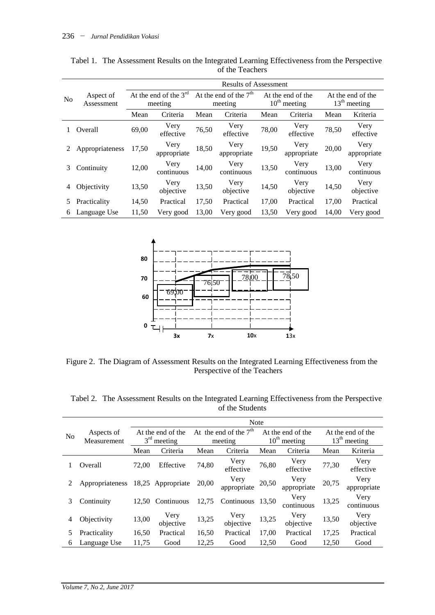|                |                         | <b>Results of Assessment</b>       |                     |                                    |                     |       |                                     |                                     |                     |  |  |
|----------------|-------------------------|------------------------------------|---------------------|------------------------------------|---------------------|-------|-------------------------------------|-------------------------------------|---------------------|--|--|
| N <sub>0</sub> | Aspect of<br>Assessment | At the end of the $3rd$<br>meeting |                     | At the end of the $7th$<br>meeting |                     |       | At the end of the<br>$10th$ meeting | At the end of the<br>$13th$ meeting |                     |  |  |
|                |                         | Mean                               | Criteria            | Mean                               | Criteria            | Mean  | Criteria                            | Mean                                | Kriteria            |  |  |
|                | Overall                 | 69,00                              | Very<br>effective   | 76,50                              | Very<br>effective   | 78,00 | Very<br>effective                   | 78,50                               | Very<br>effective   |  |  |
| 2              | Appropriateness         | 17,50                              | Very<br>appropriate | 18,50                              | Very<br>appropriate | 19,50 | Very<br>appropriate                 | 20,00                               | Very<br>appropriate |  |  |
| 3              | Continuity              | 12,00                              | Very<br>continuous  | 14,00                              | Very<br>continuous  | 13,50 | Very<br>continuous                  | 13,00                               | Very<br>continuous  |  |  |
| 4              | Objectivity             | 13,50                              | Very<br>objective   | 13,50                              | Very<br>objective   | 14,50 | Very<br>objective                   | 14,50                               | Very<br>objective   |  |  |
| 5              | Practicality            | 14,50                              | Practical           | 17,50                              | Practical           | 17,00 | Practical                           | 17,00                               | Practical           |  |  |
| 6              | Language Use            | 11,50                              | Very good           | 13,00                              | Very good           | 13,50 | Very good                           | 14,00                               | Very good           |  |  |

Tabel 1. The Assessment Results on the Integrated Learning Effectiveness from the Perspective of the Teachers



Figure 2. The Diagram of Assessment Results on the Integrated Learning Effectiveness from the Perspective of the Teachers

|                | Aspects of<br>Measurement | <b>Note</b>                        |                   |                                    |                     |                                        |                     |                                     |                     |  |
|----------------|---------------------------|------------------------------------|-------------------|------------------------------------|---------------------|----------------------------------------|---------------------|-------------------------------------|---------------------|--|
| N <sub>0</sub> |                           | At the end of the<br>$3rd$ meeting |                   | At the end of the $7th$<br>meeting |                     | At the end of the<br>$10^{th}$ meeting |                     | At the end of the<br>$13th$ meeting |                     |  |
|                |                           | Mean                               | Criteria          | Mean                               | Criteria            | Mean                                   | Criteria            | Mean                                | Kriteria            |  |
|                | Overall                   | 72,00                              | Effective         | 74,80                              | Very<br>effective   | 76,80                                  | Very<br>effective   | 77,30                               | Very<br>effective   |  |
|                | Appropriateness           |                                    | 18,25 Appropriate | 20.00                              | Very<br>appropriate | 20,50                                  | Very<br>appropriate | 20,75                               | Very<br>appropriate |  |
| 3              | Continuity                | 12,50                              | Continuous        | 12,75                              | Continuous          | 13.50                                  | Very<br>continuous  | 13,25                               | Very<br>continuous  |  |
| 4              | Objectivity               | 13,00                              | Very<br>objective | 13,25                              | Very<br>objective   | 13,25                                  | Very<br>objective   | 13,50                               | Very<br>objective   |  |
|                | Practicality              | 16,50                              | Practical         | 16,50                              | Practical           | 17,00                                  | Practical           | 17,25                               | Practical           |  |
| 6              | Language Use              | 11,75                              | Good              | 12,25                              | Good                | 12,50                                  | Good                | 12,50                               | Good                |  |

Tabel 2. The Assessment Results on the Integrated Learning Effectiveness from the Perspective of the Students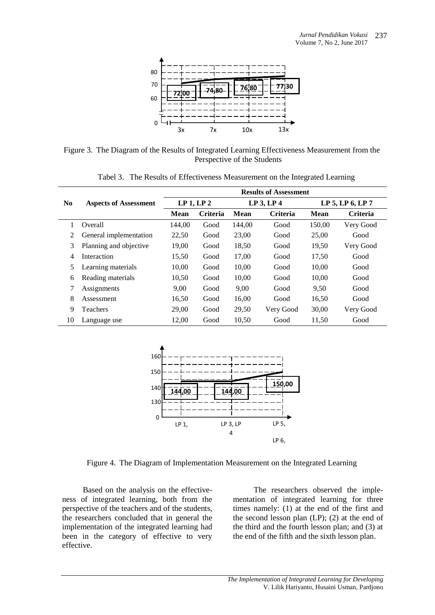

Figure 3. The Diagram of the Results of Integrated Learning Effectiveness Measurement from the Perspective of the Students

|                |                              | <b>Results of Assessment</b>      |                 |        |                 |                  |                 |  |  |  |
|----------------|------------------------------|-----------------------------------|-----------------|--------|-----------------|------------------|-----------------|--|--|--|
| N <sub>0</sub> | <b>Aspects of Assessment</b> | LP <sub>1</sub> , LP <sub>2</sub> |                 |        | LP3, LP4        | LP 5, LP 6, LP 7 |                 |  |  |  |
|                |                              | Mean                              | <b>Criteria</b> | Mean   | <b>Criteria</b> | <b>Mean</b>      | <b>Criteria</b> |  |  |  |
|                | Overall                      | 144.00                            | Good            | 144.00 | Good            | 150,00           | Very Good       |  |  |  |
|                | General implementation       | 22,50                             | Good            | 23,00  | Good            | 25,00            | Good            |  |  |  |
| 3              | Planning and objective       | 19,00                             | Good            | 18,50  | Good            | 19,50            | Very Good       |  |  |  |
| 4              | Interaction                  | 15,50                             | Good            | 17,00  | Good            | 17,50            | Good            |  |  |  |
| 5              | Learning materials           | 10,00                             | Good            | 10,00  | Good            | 10,00            | Good            |  |  |  |
| 6              | Reading materials            | 10,50                             | Good            | 10,00  | Good            | 10,00            | Good            |  |  |  |
| 7              | Assignments                  | 9,00                              | Good            | 9,00   | Good            | 9,50             | Good            |  |  |  |
| 8              | Assessment                   | 16,50                             | Good            | 16,00  | Good            | 16,50            | Good            |  |  |  |
| 9              | <b>Teachers</b>              | 29,00                             | Good            | 29,50  | Very Good       | 30,00            | Very Good       |  |  |  |
| 10             | Language use                 | 12,00                             | Good            | 10.50  | Good            | 11.50            | Good            |  |  |  |

Tabel 3. The Results of Effectiveness Measurement on the Integrated Learning



Figure 4. The Diagram of Implementation Measurement on the Integrated Learning

Based on the analysis on the effectiveness of integrated learning, both from the perspective of the teachers and of the students, the researchers concluded that in general the implementation of the integrated learning had been in the category of effective to very effective.

The researchers observed the implementation of integrated learning for three times namely: (1) at the end of the first and the second lesson plan (LP); (2) at the end of the third and the fourth lesson plan; and (3) at the end of the fifth and the sixth lesson plan.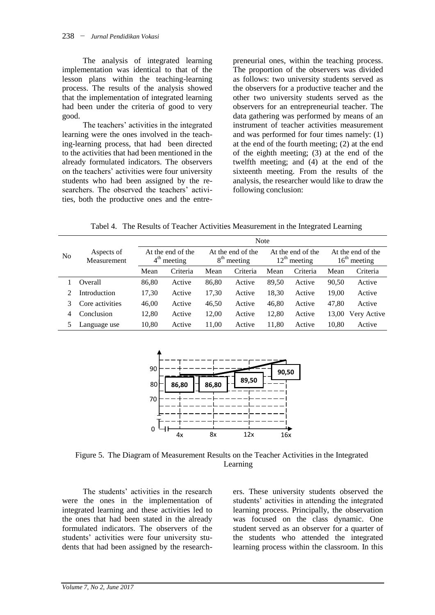The analysis of integrated learning implementation was identical to that of the lesson plans within the teaching-learning process. The results of the analysis showed that the implementation of integrated learning had been under the criteria of good to very good.

The teachers' activities in the integrated learning were the ones involved in the teaching-learning process, that had been directed to the activities that had been mentioned in the already formulated indicators. The observers on the teachers' activities were four university students who had been assigned by the researchers. The observed the teachers' activities, both the productive ones and the entrepreneurial ones, within the teaching process. The proportion of the observers was divided as follows: two university students served as the observers for a productive teacher and the other two university students served as the observers for an entrepreneurial teacher. The data gathering was performed by means of an instrument of teacher activities measurement and was performed for four times namely: (1) at the end of the fourth meeting; (2) at the end of the eighth meeting; (3) at the end of the twelfth meeting; and (4) at the end of the sixteenth meeting. From the results of the analysis, the researcher would like to draw the following conclusion:

Tabel 4. The Results of Teacher Activities Measurement in the Integrated Learning

|    |                           | <b>Note</b>                                     |          |                                    |          |                                               |          |                                     |             |  |
|----|---------------------------|-------------------------------------------------|----------|------------------------------------|----------|-----------------------------------------------|----------|-------------------------------------|-------------|--|
| No | Aspects of<br>Measurement | At the end of the<br>$4^{\text{th}}$<br>meeting |          | At the end of the<br>$8th$ meeting |          | At the end of the<br>$12^{\text{th}}$ meeting |          | At the end of the<br>$16th$ meeting |             |  |
|    |                           | Mean                                            | Criteria | Mean                               | Criteria | Mean                                          | Criteria | Mean                                | Criteria    |  |
|    | Overall                   | 86.80                                           | Active   | 86,80                              | Active   | 89.50                                         | Active   | 90,50                               | Active      |  |
| 2  | Introduction              | 17,30                                           | Active   | 17.30                              | Active   | 18,30                                         | Active   | 19.00                               | Active      |  |
|    | Core activities           | 46,00                                           | Active   | 46,50                              | Active   | 46,80                                         | Active   | 47.80                               | Active      |  |
| 4  | Conclusion                | 12.80                                           | Active   | 12.00                              | Active   | 12.80                                         | Active   | 13,00                               | Very Active |  |
| 5. | Language use              | 10,80                                           | Active   | 11,00                              | Active   | 11,80                                         | Active   | 10,80                               | Active      |  |



Figure 5. The Diagram of Measurement Results on the Teacher Activities in the Integrated Learning

The students' activities in the research were the ones in the implementation of integrated learning and these activities led to the ones that had been stated in the already formulated indicators. The observers of the students' activities were four university students that had been assigned by the researchers. These university students observed the students' activities in attending the integrated learning process. Principally, the observation was focused on the class dynamic. One student served as an observer for a quarter of the students who attended the integrated learning process within the classroom. In this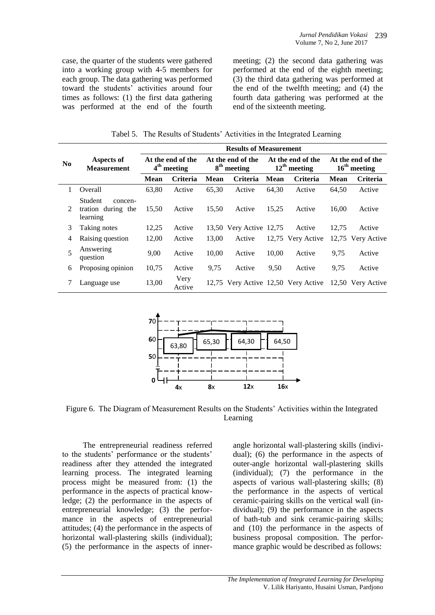case, the quarter of the students were gathered into a working group with 4-5 members for each group. The data gathering was performed toward the students' activities around four times as follows: (1) the first data gathering was performed at the end of the fourth meeting; (2) the second data gathering was performed at the end of the eighth meeting; (3) the third data gathering was performed at the end of the twelfth meeting; and (4) the fourth data gathering was performed at the end of the sixteenth meeting.

Tabel 5. The Results of Students' Activities in the Integrated Learning

|          |                                                      | <b>Results of Measurement</b>      |                 |                                              |                                     |                                     |                 |                                     |                   |  |
|----------|------------------------------------------------------|------------------------------------|-----------------|----------------------------------------------|-------------------------------------|-------------------------------------|-----------------|-------------------------------------|-------------------|--|
| $\bf No$ | Aspects of<br><b>Measurement</b>                     | At the end of the<br>$4th$ meeting |                 | At the end of the<br>8 <sup>th</sup> meeting |                                     | At the end of the<br>$12th$ meeting |                 | At the end of the<br>$16th$ meeting |                   |  |
|          |                                                      | <b>Mean</b>                        | <b>Criteria</b> | <b>Mean</b>                                  | <b>Criteria</b>                     | <b>Mean</b>                         | <b>Criteria</b> | Mean                                | <b>Criteria</b>   |  |
| 1        | Overall                                              | 63,80                              | Active          | 65,30                                        | Active                              | 64.30                               | Active          | 64,50                               | Active            |  |
| 2        | Student<br>concen-<br>tration during the<br>learning | 15,50                              | Active          | 15,50                                        | Active                              | 15,25                               | Active          | 16,00                               | Active            |  |
| 3        | Taking notes                                         | 12,25                              | Active          |                                              | 13,50 Very Active 12,75             |                                     | Active          | 12,75                               | Active            |  |
| 4        | Raising question                                     | 12,00                              | Active          | 13,00                                        | Active                              | 12,75                               | Very Active     | 12,75                               | Very Active       |  |
| 5        | Answering<br>question                                | 9,00                               | Active          | 10,00                                        | Active                              | 10,00                               | Active          | 9,75                                | Active            |  |
| 6        | Proposing opinion                                    | 10.75                              | Active          | 9,75                                         | Active                              | 9.50                                | Active          | 9,75                                | Active            |  |
| 7        | Language use                                         | 13,00                              | Very<br>Active  |                                              | 12,75 Very Active 12,50 Very Active |                                     |                 |                                     | 12.50 Very Active |  |



Figure 6. The Diagram of Measurement Results on the Students' Activities within the Integrated Learning

The entrepreneurial readiness referred to the students' performance or the students' readiness after they attended the integrated learning process. The integrated learning process might be measured from: (1) the performance in the aspects of practical knowledge; (2) the performance in the aspects of entrepreneurial knowledge; (3) the performance in the aspects of entrepreneurial attitudes; (4) the performance in the aspects of horizontal wall-plastering skills (individual); (5) the performance in the aspects of innerangle horizontal wall-plastering skills (individual); (6) the performance in the aspects of outer-angle horizontal wall-plastering skills (individual); (7) the performance in the aspects of various wall-plastering skills; (8) the performance in the aspects of vertical ceramic-pairing skills on the vertical wall (individual); (9) the performance in the aspects of bath-tub and sink ceramic-pairing skills; and (10) the performance in the aspects of business proposal composition. The performance graphic would be described as follows: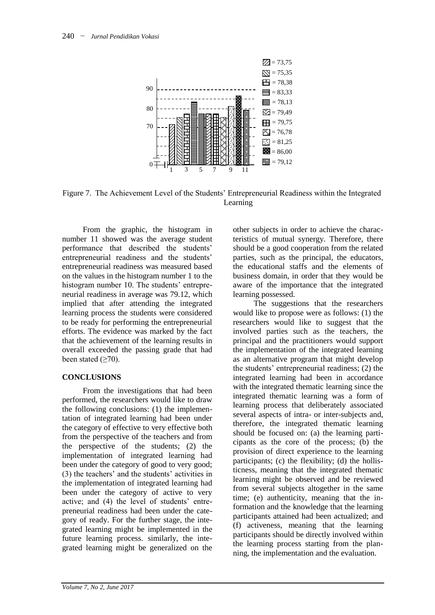

Figure 7. The Achievement Level of the Students' Entrepreneurial Readiness within the Integrated Learning

From the graphic, the histogram in number 11 showed was the average student performance that described the students' entrepreneurial readiness and the students' entrepreneurial readiness was measured based on the values in the histogram number 1 to the histogram number 10. The students' entrepreneurial readiness in average was 79.12, which implied that after attending the integrated learning process the students were considered to be ready for performing the entrepreneurial efforts. The evidence was marked by the fact that the achievement of the learning results in overall exceeded the passing grade that had been stated  $(≥70)$ .

# **CONCLUSIONS**

From the investigations that had been performed, the researchers would like to draw the following conclusions: (1) the implementation of integrated learning had been under the category of effective to very effective both from the perspective of the teachers and from the perspective of the students; (2) the implementation of integrated learning had been under the category of good to very good; (3) the teachers' and the students' activities in the implementation of integrated learning had been under the category of active to very active; and (4) the level of students' entrepreneurial readiness had been under the category of ready. For the further stage, the integrated learning might be implemented in the future learning process. similarly, the integrated learning might be generalized on the other subjects in order to achieve the characteristics of mutual synergy. Therefore, there should be a good cooperation from the related parties, such as the principal, the educators, the educational staffs and the elements of business domain, in order that they would be aware of the importance that the integrated learning possessed.

The suggestions that the researchers would like to propose were as follows: (1) the researchers would like to suggest that the involved parties such as the teachers, the principal and the practitioners would support the implementation of the integrated learning as an alternative program that might develop the students' entrepreneurial readiness; (2) the integrated learning had been in accordance with the integrated thematic learning since the integrated thematic learning was a form of learning process that deliberately associated several aspects of intra- or inter-subjects and, therefore, the integrated thematic learning should be focused on: (a) the learning participants as the core of the process; (b) the provision of direct experience to the learning participants; (c) the flexibility; (d) the hollisticness, meaning that the integrated thematic learning might be observed and be reviewed from several subjects altogether in the same time; (e) authenticity, meaning that the information and the knowledge that the learning participants attained had been actualized; and (f) activeness, meaning that the learning participants should be directly involved within the learning process starting from the planning, the implementation and the evaluation.